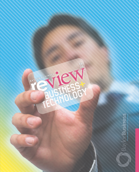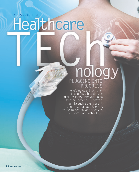# By Melanie Merrifield<br> **Healthcare**

## PLUGGING INTO PROGRESS

There's no question that technology has driven extraordinary innovation in medical science. However, while such advancement continues apace, the hot topic in healthcare today is information technology.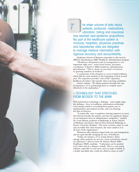he sheer volume of data about patients, protocols, medications, utilization, billing and insurance has reached near-epidemic proportions. No part of the healthcare system is immune; hospitals, physician practices and laboratories alike are obligated to manage medical information with rigorous accuracy and accountability.

Hankamer School of Business responded to this need in 2003 by introducing an MBA Healthcare Administration program.

"Healthcare information and its management is very important right now," notes Scott Garner, preceptor coordinator of Baylor's MBA healthcare administration specialization. "This is clearly an area that's of interest to growing numbers of students"

A cornerstone of the program is a seven month residency, which falls for most students at the beginning of their second year. The experience provides "real world" experience healthcare providers value greatly when screening candidates.

Garner explains. "By taking students through this type of experience, we're positioning them to compete more effectively in the marketplace."

#### » TECHNOLOGY THAT STRETCHES FROM BEDSIDE TO THE BANK

With information technology a defining – some might argue the defining – force in healthcare, information technology is becoming central to everything from patient care to administration and medical records, and even blurring the lines in-between.

"A system like voice recognition charting improves accuracy that directly benefits the patient, and also has significant impact on an institution from an administrative standpoint," explains Dr. Louis Martin, professor of Radiology at Emory School of Medicine and former chief of Interventional Radiology at Emory University Hospital. "The more accurate, easier to read and accessible that chart becomes, the more useful it is to all areas of the organization."

Numerous other advances impact both care and management, and are quite literally changing the face of healthcare.

"Today, for instance, we're seeing distance clinics emerge where patients are seen by a nurse practitioner instead of a physician," observes Sean M. Haynes, Baylor MBA – Healthcare/MSIS candidate. "A physician can be patched in by video and do a distance consult. This is a cost-saving solution, especially in rural areas, and can make available to a facility specialists they could not afford to keep on staff."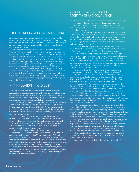#### » THE CHANGING FACES OF PATIENT CARE

As scanning and monitoring modalities like CT scans, MRIs, heart monitors and numerous others move from analog to digital, their data can be sent real-time around the world. "These images are no longer subject to location. They can be shipped off to be read and sent back."

"Robotics is another big force on the horizon," notes Haynes. "These minimally invasive procedures can have patients up and mobile in three days, not three weeks. That's a significant development for both patient care and for cost management."

Early detection is another area where technology, and the required IT underpinning will expand medicine's future scope. "Cancer, for example, is now considered a long term disease, as diagnosis is enabled by more granular imaging," Haynes adds.

Close to home, at Dallas-Fort Worth's Baylor University Medical Center, surgeons have developed a laparoscopic version of the gastric bypass for obese patients, enabling most to leave the hospital within 23 hours. This is a significant improvement over the complex open gastric bypass procedure, which requires several days' stay, post op.

#### » IT INNOVATION — AND COST

Not only does all this innovation demand new systems and approaches to data management, it also comes with a high price tag. Most institutions are actually earmarking between one and three percent of annual operating budget for IT. Small wonder the business world is taking the challenge seriously.

Senior hospital executives responding to a *Modern Healthcare* 2005 survey indicated their primary near-term IT priority to be the electronic health record (EHR). A key impetus in the increased interest in the EHR was the 2004 pledge by President George W. Bush to establish an interoperable system of health records within a decade.

The total national cost of introducing this system has been estimated at \$276 billion to \$320 billion over 10 years. Some industry observers believe that the challenges of building such a national infrastructure are comparable to those of putting a man on the moon, and that the project is more likely to require several decades to complete.

Much of the cost and complexity of healthcare IT management is a result of the Health Insurance Portability and Accountability Act (HIPAA), originating in 1996 and reaching final form in 2003. This ground-breaking legislation ambitiously proposed to simplify and standardize the transfer and storage of patient information, with a mandate to protect patient rights and privacy with carefully defined security protocols.

However, even with stringent HIPAA regulations, there remains room for much subjectivity. It is in both system-building and management of compliance that finely honed management training and skills are essential.

#### » MAJOR CHALLENGES AHEAD: ACCEPTANCE AND COMPLIANCE

Another key issue in this brave new world of medical technology management is the varying degrees of acceptance among practitioners. Clearly, technology is a younger folks' game, with older practitioners sometimes only embracing technology in a rudimentary way.

"Physicians are using more healthcare information technology in their clinical practices, but in some cases the use may well be fairly rudimentary, such as looking up information about drugs and unfamiliar diseases on the Internet vs. a printed reference" reports Joseph Conn in *Modern Healthcare*. "But many of them lack sophisticated systems."

Michelle Nelson, Baylor MBA Healthcare candidate, recently spent her residency at Bearing Point Healthcare Group in San Francisco as part of a Change Management team.

"It was such an enlightening experience. Our challenge was to oversee our client's adoption of electronic medical records system," states Nelson. "Because I worked as a nurse for many years, I can see the advantage of all this technology from the caregiver perspective. But there is a sharp learning curve, because this kind of technology assumes and requires a certain level of technical savvy from its users.

"The biggest hurdle seems to be getting everyone in an organization to buy in and take ownership of the change."

One area where major advances in healthcare technology and IT are at the leading edge is in the military. Kevin Peck, a Baylor MBA Healthcare graduate, is now deployed to Iraq as Chief Information Officer of a field hospital there.

He suggests that "the military will end up being a model for the health record, like it has been for so many other medical innovations. EMR development (electronic medical records) is moving forward far faster than in civilian life." (See sidebar.)

"The EMR hasn't been rolled out yet. It's in field testing now. But there's so much more standardization across the board compared to civilian life," says Peck. "For instance, there's just one form for requesting medication. It's really much simpler than the various forms in civilian use."

"Of course, security and privacy are much more guarded in the military," he continues. "They just came out in April with new ARMY regulations regarding handling of medical records. If you're negligent, it can end your career. You're dealing with the uniform code of military justice. In effect, all medical records are the Commander's possession. All medical records are kept in a records room and under lock and key at all times, with controlled access and afterwards immediately locked down. As CIO, I'm responsible. If anyone wants to see them, release of information must be through patient information division and LEGAL and HIPAA. Rules exist regarding may see records, what parts of records and under what conditions. Everything is documented."

"Army deployed hospitals are mirror image of what you'd see here. Facilities are every bit as good as what we have here in the States. But in a tent.

Some tent. It may just define the future of medical IT.